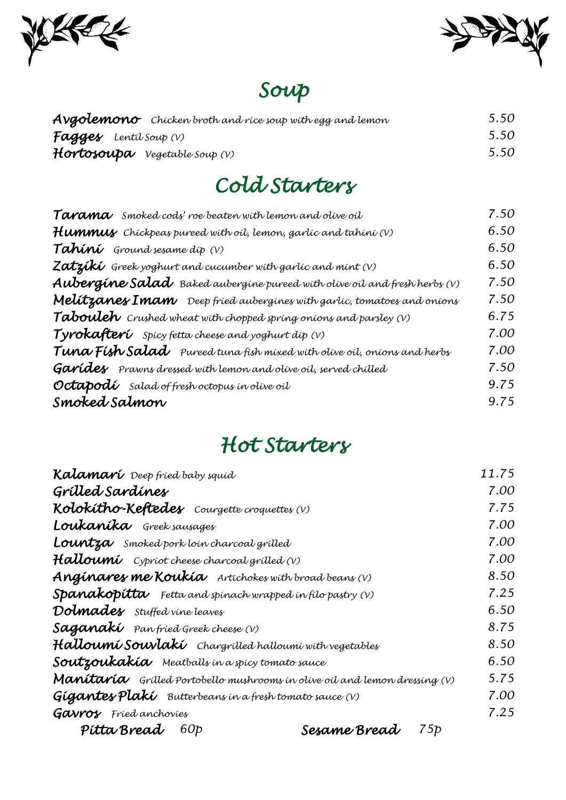



## *Soup*

| Avgolemono Chicken broth and rice soup with egg and lemon | 5.50 |
|-----------------------------------------------------------|------|
| <b>Fagges</b> Lentil Soup (V)                             | 5.50 |
| <b>Hortosoupa</b> Vegetable Soup $(V)$                    | 5.50 |

## *Cold Starters*

| Tarama Smoked cods' roe beaten with lemon and olive oil                        | 7.50 |
|--------------------------------------------------------------------------------|------|
| <b>Hummus</b> Chíckpeas pureed with oil, lemon, garlíc and tahíní (V)          | 6.50 |
| Tahini Ground sesame dip $(V)$                                                 | 6.50 |
| Zatzíkí $\zeta$ reek yoghurt and cucumber with garlic and mint (V)             | 6.50 |
| Aubergine Salad $\,$ Baked aubergine pureed with olive oil and fresh herbs (V) | 7.50 |
| Melitzanes Imam Deep fried aubergines with garlic, tomatoes and onions         | 7.50 |
| Tabouleh Crushed wheat with chopped spring onions and parsley $(V)$            | 6.75 |
| <b>Tyrokafter</b> $\dot{v}$ spicy fetta cheese and yoghurt dip $(v)$           | 7.00 |
| Tuna Fish Salad pureed tuna fish mixed with olive oil, onions and herbs        | 7.00 |
| <b>Garídes</b> prawns dressed with lemon and olive oil, served chilled         | 7.50 |
| <b>Octapodí</b> salad of fresh octopus in olive oil                            | 9.75 |
| Smoked Salmon                                                                  | 9.75 |

#### *Hot Starters*

| Kalamarí Deep fried baby squid                                                      | 11.75 |
|-------------------------------------------------------------------------------------|-------|
| Grilled Sardines                                                                    | 7.00  |
| Kolokitho-Keftedes courgette croquettes (V)                                         | 7.75  |
| <b>Loukaníka</b> Greek sausages                                                     | 7.00  |
| <b>Lountza</b> Smoked pork loin charcoal grilled                                    | 7.00  |
| $Halloumi$ Cypriot cheese charcoal grilled $(V)$                                    | 7.00  |
| Anginares me Koukia Artichokes with broad beans (V)                                 | 8.50  |
| $Spanakopitta$ Fetta and spinach wrapped in filo pastry (V)                         | 7.25  |
| <b>Dolmades</b> stuffed vine leaves                                                 | 6.50  |
| Saganaki Panfried Greek cheese (V)                                                  | 8.75  |
| Halloumí Souvlakí Chargrilled halloumí with vegetables                              | 8.50  |
| Soutzoukakía Meatballs in a spicy tomato sauce                                      | 6.50  |
| <b>Manitaria</b> Grilled Portobello mushrooms in olive oil and lemon dressing $(V)$ | 5.75  |
| $Gigantes Plaki$ Butterbeans in a fresh tomato sauce $(V)$                          | 7.00  |
| Gavros Fried anchovies                                                              | 7.25  |
| <b>Pítta Bread</b> 60p<br>Sesame Bread<br>75p                                       |       |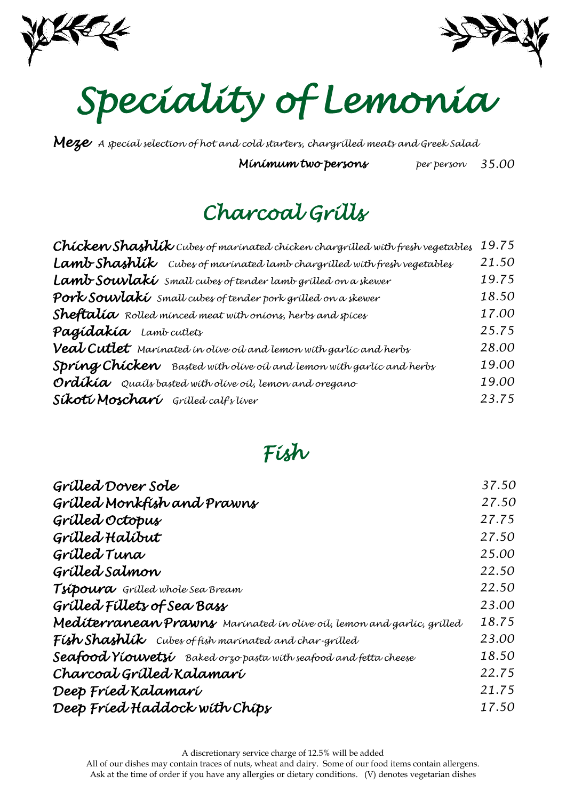



*Speciality of Lemonia* 

*Meze A special selection of hot and cold starters, chargrilled meats and Greek Salad*

*Minimum two persons per person 35.00*

#### *Charcoal Grills*

| <b>Chicken Shashlik</b> Cubes of marinated chicken chargrilled with fresh vegetables | 19.75 |
|--------------------------------------------------------------------------------------|-------|
| <b>Lamb Shashlik</b> Cubes of marinated lamb chargrilled with fresh vegetables       | 21.50 |
| <b>Lamb Souvlaki</b> small cubes of tender lamb grilled on a skewer                  | 19.75 |
| Pork Souvlakí Small cubes of tender pork grilled on a skewer                         | 18.50 |
| <b>Sheftalia</b> Rolled minced meat with onions, herbs and spices                    | 17.00 |
| Pagidakia Lamb cuttets                                                               | 25.75 |
| Veal Cutlet Marinated in olive oil and lemon with garlic and herbs                   | 28.00 |
| <b>Spring Chicken</b> Basted with olive oil and lemon with garlic and herbs          | 19.00 |
| Ordíkía Quails basted with olive oil, lemon and oregano                              | 19.00 |
| Sikoti Moschari Grilled calfsliver                                                   | 23.75 |
|                                                                                      |       |

*Fish* 

| Grilled Dover Sole                                                     | 37.50 |
|------------------------------------------------------------------------|-------|
| Grilled Monkfish and Prawns                                            | 27.50 |
| Grilled Octopus                                                        | 27.75 |
| Grilled Halibut                                                        | 27.50 |
| Grilled Tuna                                                           | 25.00 |
| Grilled Salmon                                                         | 22.50 |
| Tsipoura Grilled whole Sea Bream                                       | 22.50 |
| Grilled Fillets of Sea Bass                                            | 23.00 |
| Mediterranean Prawns Marinated in olive oil, lemon and garlic, grilled | 18.75 |
| Fish Shashlik Cubes of fish marinated and char-grilled                 | 23.00 |
| Seafood Yiouvetsi Baked orzo pasta with seafood and fetta cheese       | 18.50 |
| Charcoal Grilled Kalamari                                              | 22.75 |
| Deep Fried Kalamari                                                    | 21.75 |
| Deep Fried Haddock with Chips                                          | 17.50 |

A discretionary service charge of 12.5% will be added